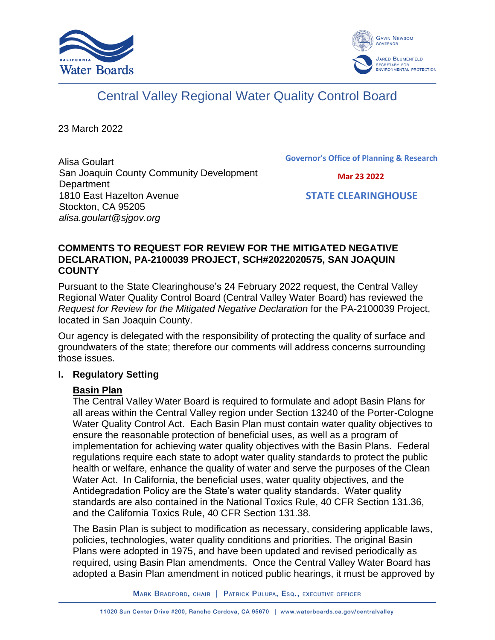



# Central Valley Regional Water Quality Control Board

23 March 2022

Alisa Goulart San Joaquin County Community Development **Department** 1810 East Hazelton Avenue Stockton, CA 95205 *alisa.goulart@sjgov.org*

**Governor's Office of Planning & Research**

 **Mar 23 2022**

 **STATE CLEARINGHOUSE**

## **COMMENTS TO REQUEST FOR REVIEW FOR THE MITIGATED NEGATIVE DECLARATION, PA-2100039 PROJECT, SCH#2022020575, SAN JOAQUIN COUNTY**

Pursuant to the State Clearinghouse's 24 February 2022 request, the Central Valley Regional Water Quality Control Board (Central Valley Water Board) has reviewed the *Request for Review for the Mitigated Negative Declaration* for the PA-2100039 Project, located in San Joaquin County.

Our agency is delegated with the responsibility of protecting the quality of surface and groundwaters of the state; therefore our comments will address concerns surrounding those issues.

## **I. Regulatory Setting**

## **Basin Plan**

The Central Valley Water Board is required to formulate and adopt Basin Plans for all areas within the Central Valley region under Section 13240 of the Porter-Cologne Water Quality Control Act. Each Basin Plan must contain water quality objectives to ensure the reasonable protection of beneficial uses, as well as a program of implementation for achieving water quality objectives with the Basin Plans. Federal regulations require each state to adopt water quality standards to protect the public health or welfare, enhance the quality of water and serve the purposes of the Clean Water Act. In California, the beneficial uses, water quality objectives, and the Antidegradation Policy are the State's water quality standards. Water quality standards are also contained in the National Toxics Rule, 40 CFR Section 131.36, and the California Toxics Rule, 40 CFR Section 131.38.

The Basin Plan is subject to modification as necessary, considering applicable laws, policies, technologies, water quality conditions and priorities. The original Basin Plans were adopted in 1975, and have been updated and revised periodically as required, using Basin Plan amendments. Once the Central Valley Water Board has adopted a Basin Plan amendment in noticed public hearings, it must be approved by

MARK BRADFORD, CHAIR | PATRICK PULUPA, ESQ., EXECUTIVE OFFICER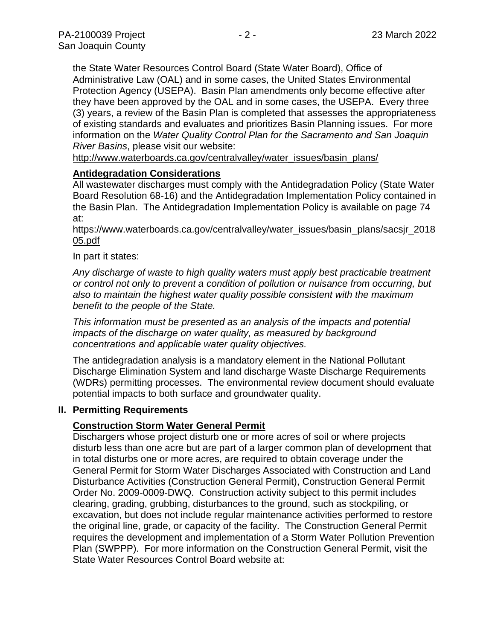the State Water Resources Control Board (State Water Board), Office of Administrative Law (OAL) and in some cases, the United States Environmental Protection Agency (USEPA). Basin Plan amendments only become effective after they have been approved by the OAL and in some cases, the USEPA. Every three (3) years, a review of the Basin Plan is completed that assesses the appropriateness of existing standards and evaluates and prioritizes Basin Planning issues. For more information on the *Water Quality Control Plan for the Sacramento and San Joaquin River Basins*, please visit our website:

[http://www.waterboards.ca.gov/centralvalley/water\\_issues/basin\\_plans/](http://www.waterboards.ca.gov/centralvalley/water_issues/basin_plans/)

## **Antidegradation Considerations**

All wastewater discharges must comply with the Antidegradation Policy (State Water Board Resolution 68-16) and the Antidegradation Implementation Policy contained in the Basin Plan. The Antidegradation Implementation Policy is available on page 74 at:

## https://www.waterboards.ca.gov/centralvalley/water\_issues/basin\_plans/sacsjr\_2018 05.pdf

## In part it states:

*Any discharge of waste to high quality waters must apply best practicable treatment or control not only to prevent a condition of pollution or nuisance from occurring, but also to maintain the highest water quality possible consistent with the maximum benefit to the people of the State.*

*This information must be presented as an analysis of the impacts and potential impacts of the discharge on water quality, as measured by background concentrations and applicable water quality objectives.*

The antidegradation analysis is a mandatory element in the National Pollutant Discharge Elimination System and land discharge Waste Discharge Requirements (WDRs) permitting processes. The environmental review document should evaluate potential impacts to both surface and groundwater quality.

## **II. Permitting Requirements**

# **Construction Storm Water General Permit**

Dischargers whose project disturb one or more acres of soil or where projects disturb less than one acre but are part of a larger common plan of development that in total disturbs one or more acres, are required to obtain coverage under the General Permit for Storm Water Discharges Associated with Construction and Land Disturbance Activities (Construction General Permit), Construction General Permit Order No. 2009-0009-DWQ. Construction activity subject to this permit includes clearing, grading, grubbing, disturbances to the ground, such as stockpiling, or excavation, but does not include regular maintenance activities performed to restore the original line, grade, or capacity of the facility. The Construction General Permit requires the development and implementation of a Storm Water Pollution Prevention Plan (SWPPP). For more information on the Construction General Permit, visit the State Water Resources Control Board website at: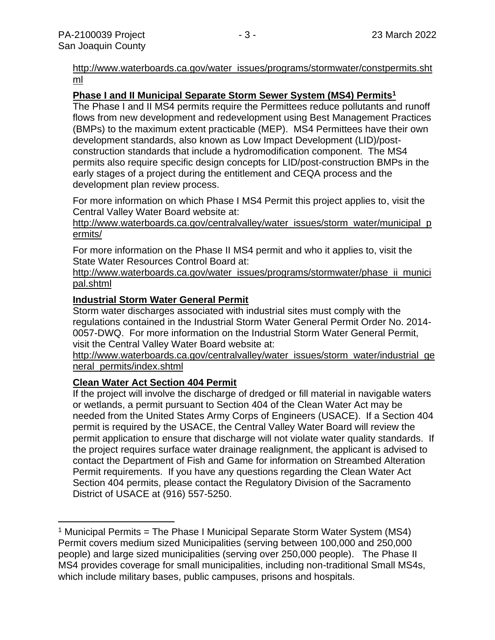## [http://www.waterboards.ca.gov/water\\_issues/programs/stormwater/constpermits.sht](http://www.waterboards.ca.gov/water_issues/programs/stormwater/constpermits.shtml) [ml](http://www.waterboards.ca.gov/water_issues/programs/stormwater/constpermits.shtml)

# **Phase I and II Municipal Separate Storm Sewer System (MS4) Permits<sup>1</sup>**

The Phase I and II MS4 permits require the Permittees reduce pollutants and runoff flows from new development and redevelopment using Best Management Practices (BMPs) to the maximum extent practicable (MEP). MS4 Permittees have their own development standards, also known as Low Impact Development (LID)/postconstruction standards that include a hydromodification component. The MS4 permits also require specific design concepts for LID/post-construction BMPs in the early stages of a project during the entitlement and CEQA process and the development plan review process.

For more information on which Phase I MS4 Permit this project applies to, visit the Central Valley Water Board website at:

http://www.waterboards.ca.gov/centralvalley/water\_issues/storm\_water/municipal\_p ermits/

For more information on the Phase II MS4 permit and who it applies to, visit the State Water Resources Control Board at:

http://www.waterboards.ca.gov/water\_issues/programs/stormwater/phase\_ii\_munici pal.shtml

## **Industrial Storm Water General Permit**

Storm water discharges associated with industrial sites must comply with the regulations contained in the Industrial Storm Water General Permit Order No. 2014- 0057-DWQ. For more information on the Industrial Storm Water General Permit, visit the Central Valley Water Board website at:

http://www.waterboards.ca.gov/centralvalley/water\_issues/storm\_water/industrial\_ge neral\_permits/index.shtml

# **Clean Water Act Section 404 Permit**

If the project will involve the discharge of dredged or fill material in navigable waters or wetlands, a permit pursuant to Section 404 of the Clean Water Act may be needed from the United States Army Corps of Engineers (USACE). If a Section 404 permit is required by the USACE, the Central Valley Water Board will review the permit application to ensure that discharge will not violate water quality standards. If the project requires surface water drainage realignment, the applicant is advised to contact the Department of Fish and Game for information on Streambed Alteration Permit requirements. If you have any questions regarding the Clean Water Act Section 404 permits, please contact the Regulatory Division of the Sacramento District of USACE at (916) 557-5250.

<sup>&</sup>lt;sup>1</sup> Municipal Permits = The Phase I Municipal Separate Storm Water System (MS4) Permit covers medium sized Municipalities (serving between 100,000 and 250,000 people) and large sized municipalities (serving over 250,000 people). The Phase II MS4 provides coverage for small municipalities, including non-traditional Small MS4s, which include military bases, public campuses, prisons and hospitals.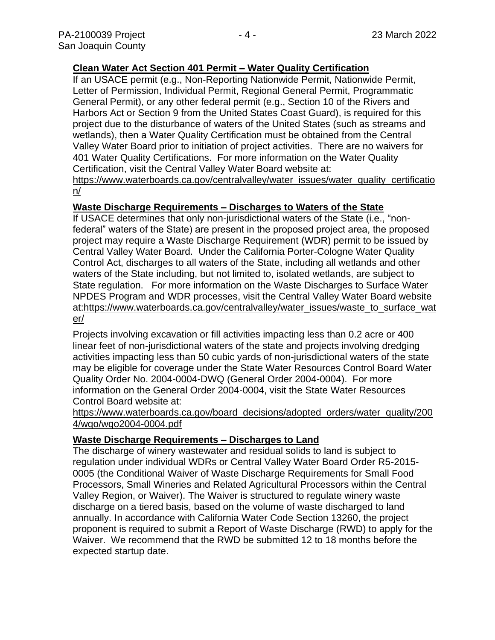## **Clean Water Act Section 401 Permit – Water Quality Certification**

If an USACE permit (e.g., Non-Reporting Nationwide Permit, Nationwide Permit, Letter of Permission, Individual Permit, Regional General Permit, Programmatic General Permit), or any other federal permit (e.g., Section 10 of the Rivers and Harbors Act or Section 9 from the United States Coast Guard), is required for this project due to the disturbance of waters of the United States (such as streams and wetlands), then a Water Quality Certification must be obtained from the Central Valley Water Board prior to initiation of project activities. There are no waivers for 401 Water Quality Certifications. For more information on the Water Quality Certification, visit the Central Valley Water Board website at: https://www.waterboards.ca.gov/centralvalley/water\_issues/water\_quality\_certificatio

n/

#### **Waste Discharge Requirements – Discharges to Waters of the State**

If USACE determines that only non-jurisdictional waters of the State (i.e., "nonfederal" waters of the State) are present in the proposed project area, the proposed project may require a Waste Discharge Requirement (WDR) permit to be issued by Central Valley Water Board. Under the California Porter-Cologne Water Quality Control Act, discharges to all waters of the State, including all wetlands and other waters of the State including, but not limited to, isolated wetlands, are subject to State regulation. For more information on the Waste Discharges to Surface Water NPDES Program and WDR processes, visit the Central Valley Water Board website at:https://www.waterboards.ca.gov/centralvalley/water\_issues/waste\_to\_surface\_wat er/

Projects involving excavation or fill activities impacting less than 0.2 acre or 400 linear feet of non-jurisdictional waters of the state and projects involving dredging activities impacting less than 50 cubic yards of non-jurisdictional waters of the state may be eligible for coverage under the State Water Resources Control Board Water Quality Order No. 2004-0004-DWQ (General Order 2004-0004). For more information on the General Order 2004-0004, visit the State Water Resources Control Board website at:

#### https://www.waterboards.ca.gov/board\_decisions/adopted\_orders/water\_quality/200 4/wqo/wqo2004-0004.pdf

## **Waste Discharge Requirements – Discharges to Land**

The discharge of winery wastewater and residual solids to land is subject to regulation under individual WDRs or Central Valley Water Board Order R5-2015- 0005 (the Conditional Waiver of Waste Discharge Requirements for Small Food Processors, Small Wineries and Related Agricultural Processors within the Central Valley Region, or Waiver). The Waiver is structured to regulate winery waste discharge on a tiered basis, based on the volume of waste discharged to land annually. In accordance with California Water Code Section 13260, the project proponent is required to submit a Report of Waste Discharge (RWD) to apply for the Waiver. We recommend that the RWD be submitted 12 to 18 months before the expected startup date.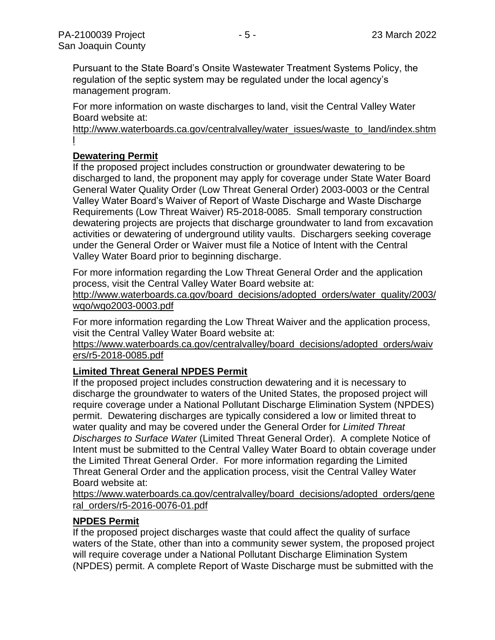Pursuant to the State Board's Onsite Wastewater Treatment Systems Policy, the regulation of the septic system may be regulated under the local agency's management program.

For more information on waste discharges to land, visit the Central Valley Water Board website at:

http://www.waterboards.ca.gov/centralvalley/water\_issues/waste\_to\_land/index.shtm l

# **Dewatering Permit**

If the proposed project includes construction or groundwater dewatering to be discharged to land, the proponent may apply for coverage under State Water Board General Water Quality Order (Low Threat General Order) 2003-0003 or the Central Valley Water Board's Waiver of Report of Waste Discharge and Waste Discharge Requirements (Low Threat Waiver) R5-2018-0085. Small temporary construction dewatering projects are projects that discharge groundwater to land from excavation activities or dewatering of underground utility vaults. Dischargers seeking coverage under the General Order or Waiver must file a Notice of Intent with the Central Valley Water Board prior to beginning discharge.

For more information regarding the Low Threat General Order and the application process, visit the Central Valley Water Board website at:

http://www.waterboards.ca.gov/board decisions/adopted orders/water quality/2003/ wqo/wqo2003-0003.pdf

For more information regarding the Low Threat Waiver and the application process, visit the Central Valley Water Board website at:

https://www.waterboards.ca.gov/centralvalley/board\_decisions/adopted\_orders/waiv ers/r5-2018-0085.pdf

# **Limited Threat General NPDES Permit**

If the proposed project includes construction dewatering and it is necessary to discharge the groundwater to waters of the United States, the proposed project will require coverage under a National Pollutant Discharge Elimination System (NPDES) permit. Dewatering discharges are typically considered a low or limited threat to water quality and may be covered under the General Order for *Limited Threat Discharges to Surface Water* (Limited Threat General Order). A complete Notice of Intent must be submitted to the Central Valley Water Board to obtain coverage under the Limited Threat General Order. For more information regarding the Limited Threat General Order and the application process, visit the Central Valley Water Board website at:

https://www.waterboards.ca.gov/centralvalley/board\_decisions/adopted\_orders/gene ral\_orders/r5-2016-0076-01.pdf

# **NPDES Permit**

If the proposed project discharges waste that could affect the quality of surface waters of the State, other than into a community sewer system, the proposed project will require coverage under a National Pollutant Discharge Elimination System (NPDES) permit. A complete Report of Waste Discharge must be submitted with the